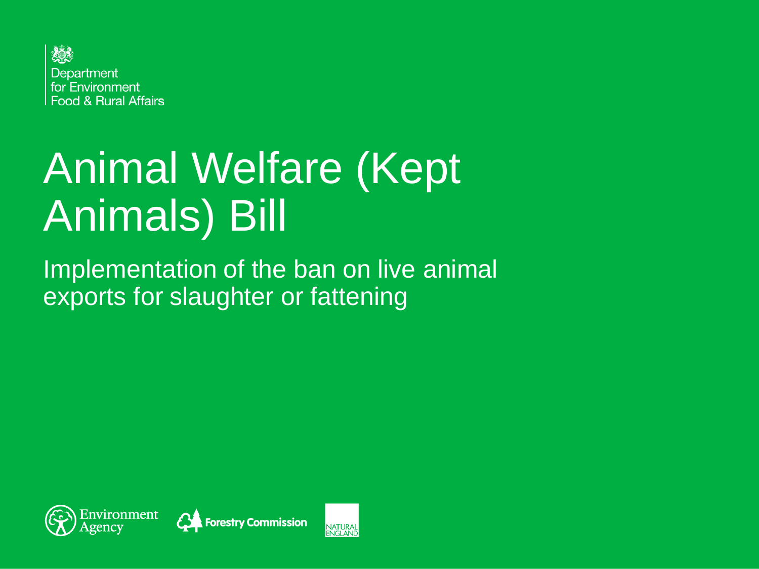

# Animal Welfare (Kept Animals) Bill

Implementation of the ban on live animal exports for slaughter or fattening





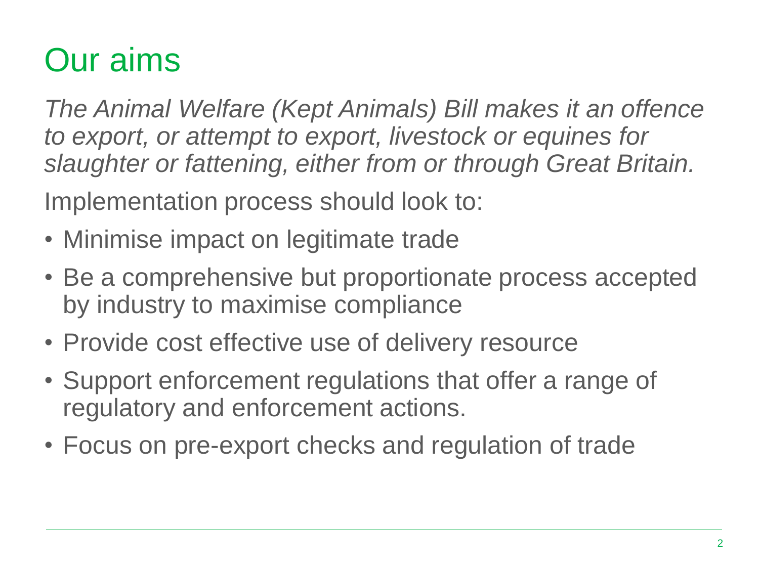### Our aims

*The Animal Welfare (Kept Animals) Bill makes it an offence to export, or attempt to export, livestock or equines for slaughter or fattening, either from or through Great Britain.* 

Implementation process should look to:

- Minimise impact on legitimate trade
- Be a comprehensive but proportionate process accepted by industry to maximise compliance
- Provide cost effective use of delivery resource
- Support enforcement regulations that offer a range of regulatory and enforcement actions.
- Focus on pre-export checks and regulation of trade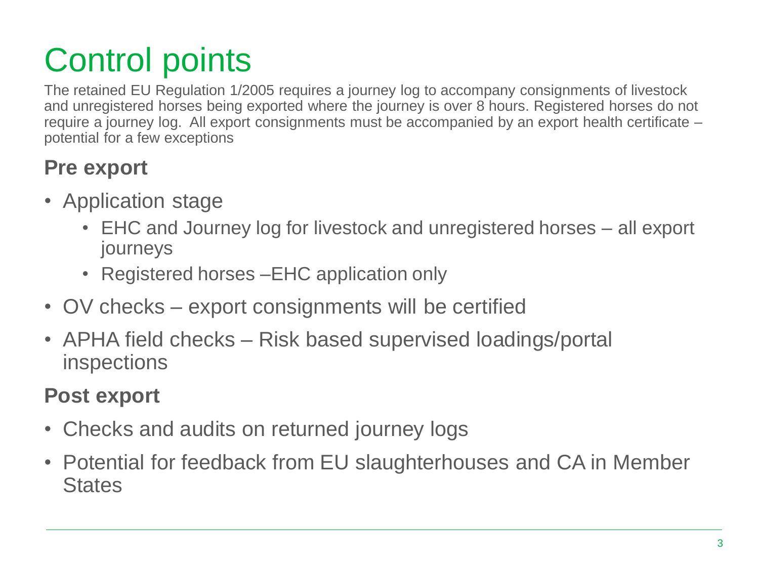# Control points

The retained EU Regulation 1/2005 requires a journey log to accompany consignments of livestock and unregistered horses being exported where the journey is over 8 hours. Registered horses do not require a journey log. All export consignments must be accompanied by an export health certificate – potential for a few exceptions

#### **Pre export**

- Application stage
	- EHC and Journey log for livestock and unregistered horses all export journeys
	- Registered horses EHC application only
- OV checks export consignments will be certified
- APHA field checks Risk based supervised loadings/portal inspections

#### **Post export**

- Checks and audits on returned journey logs
- Potential for feedback from EU slaughterhouses and CA in Member **States**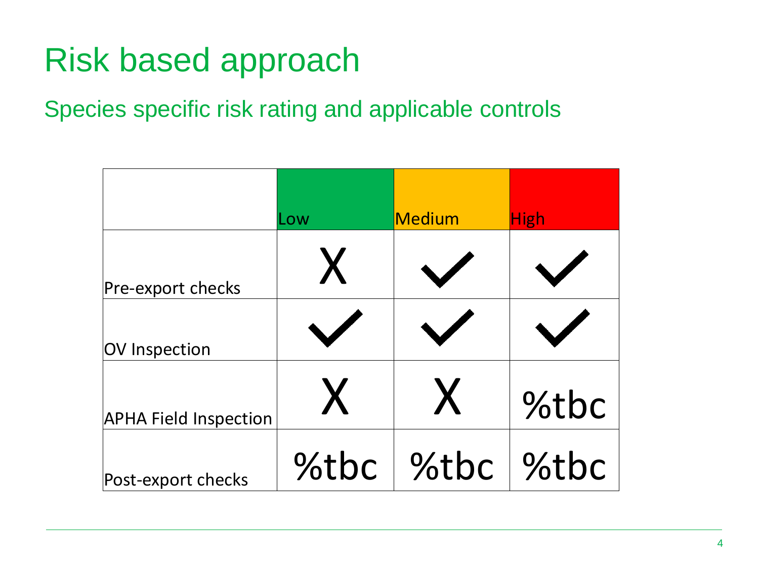## Risk based approach

#### Species specific risk rating and applicable controls

|                              | Low  | Medium | <b>High</b> |
|------------------------------|------|--------|-------------|
| Pre-export checks            |      |        |             |
| OV Inspection                |      |        |             |
| <b>APHA Field Inspection</b> |      |        | %tbc        |
| Post-export checks           | %tbc | %tbc   | Stbc        |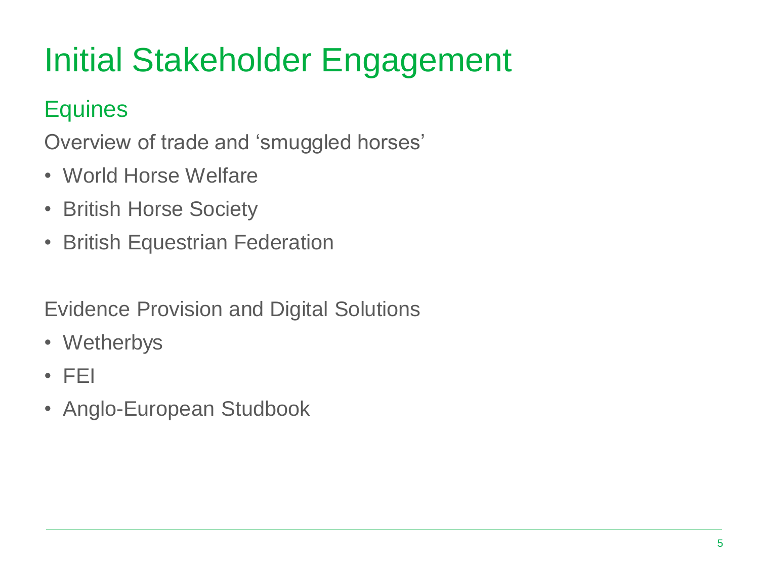# Initial Stakeholder Engagement

#### **Equines**

Overview of trade and 'smuggled horses'

- World Horse Welfare
- British Horse Society
- British Equestrian Federation

Evidence Provision and Digital Solutions

- Wetherbys
- FEI
- Anglo-European Studbook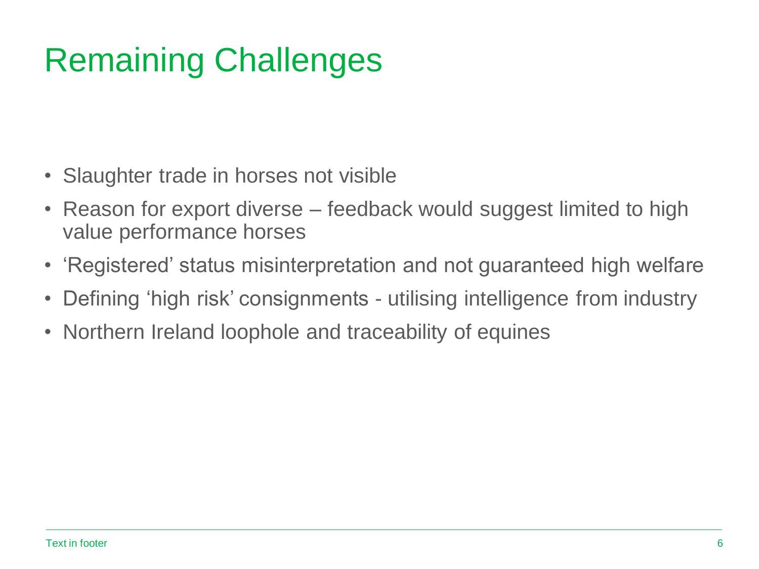## Remaining Challenges

- Slaughter trade in horses not visible
- Reason for export diverse feedback would suggest limited to high value performance horses
- 'Registered' status misinterpretation and not guaranteed high welfare
- Defining 'high risk' consignments utilising intelligence from industry
- Northern Ireland loophole and traceability of equines